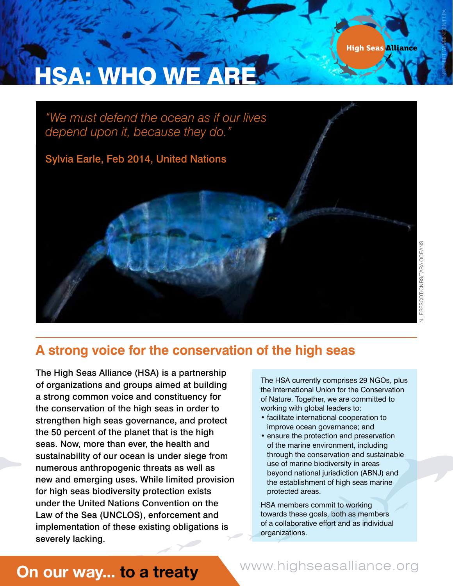NORBERT WU/MINDEN/FLPA

# **HSA: WHO WE AR**

*"We must defend the ocean as if our lives depend upon it, because they do."*  Sylvia Earle, Feb 2014, United Nations

### **A strong voice for the conservation of the high seas**

The High Seas Alliance (HSA) is a partnership of organizations and groups aimed at building a strong common voice and constituency for the conservation of the high seas in order to strengthen high seas governance, and protect the 50 percent of the planet that is the high seas. Now, more than ever, the health and sustainability of our ocean is under siege from numerous anthropogenic threats as well as new and emerging uses. While limited provision for high seas biodiversity protection exists under the United Nations Convention on the Law of the Sea (UNCLOS), enforcement and implementation of these existing obligations is severely lacking.

The HSA currently comprises 29 NGOs, plus the International Union for the Conservation of Nature. Together, we are committed to working with global leaders to:

- facilitate international cooperation to improve ocean governance; and
- ensure the protection and preservation of the marine environment, including through the conservation and sustainable use of marine biodiversity in areas beyond national jurisdiction (ABNJ) and the establishment of high seas marine protected areas.

HSA members commit to working towards these goals, both as members of a collaborative effort and as individual organizations.

## **On our way... to a treaty www.highseasalliance.org**